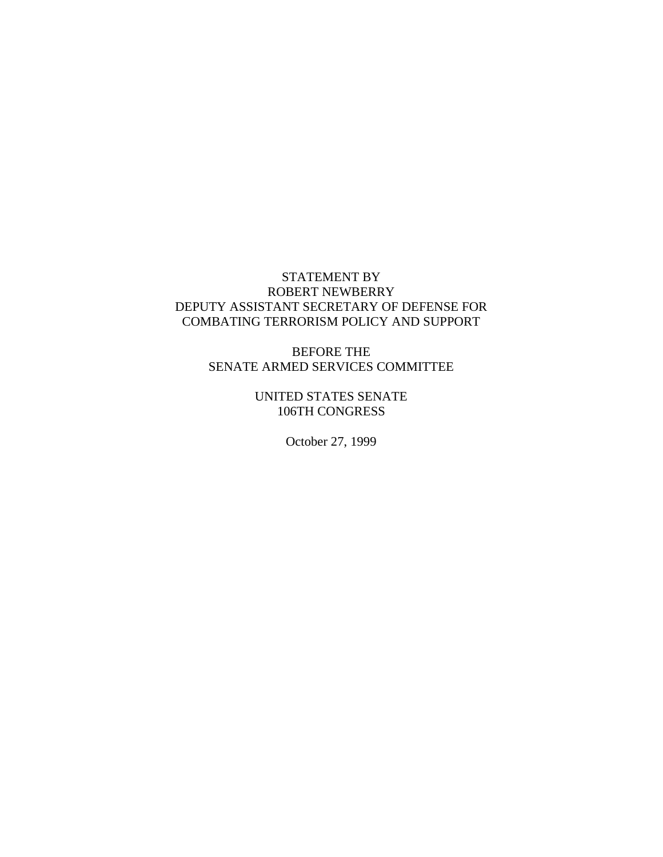# STATEMENT BY ROBERT NEWBERRY DEPUTY ASSISTANT SECRETARY OF DEFENSE FOR COMBATING TERRORISM POLICY AND SUPPORT

BEFORE THE SENATE ARMED SERVICES COMMITTEE

> UNITED STATES SENATE 106TH CONGRESS

> > October 27, 1999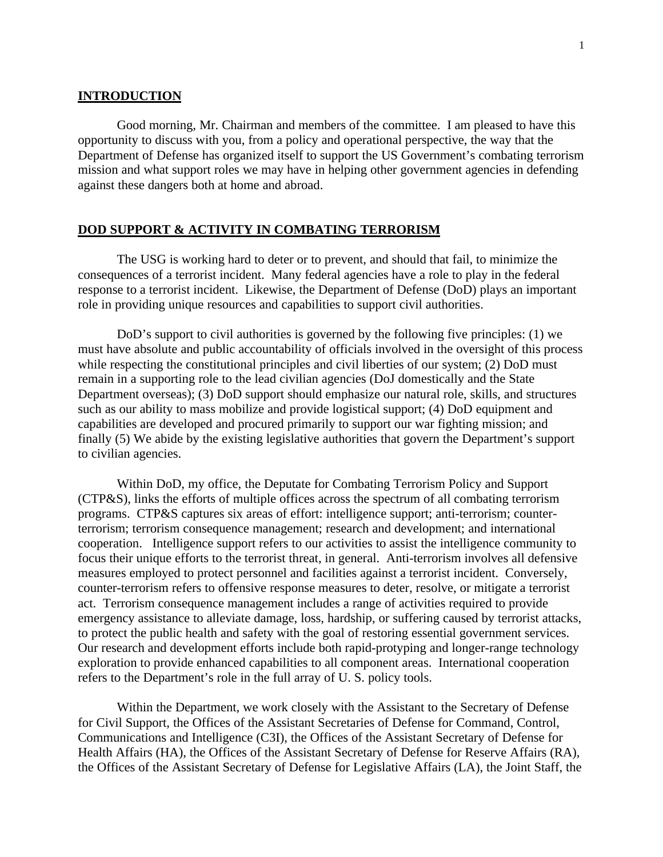## **INTRODUCTION**

Good morning, Mr. Chairman and members of the committee. I am pleased to have this opportunity to discuss with you, from a policy and operational perspective, the way that the Department of Defense has organized itself to support the US Government's combating terrorism mission and what support roles we may have in helping other government agencies in defending against these dangers both at home and abroad.

## **DOD SUPPORT & ACTIVITY IN COMBATING TERRORISM**

The USG is working hard to deter or to prevent, and should that fail, to minimize the consequences of a terrorist incident. Many federal agencies have a role to play in the federal response to a terrorist incident. Likewise, the Department of Defense (DoD) plays an important role in providing unique resources and capabilities to support civil authorities.

DoD's support to civil authorities is governed by the following five principles: (1) we must have absolute and public accountability of officials involved in the oversight of this process while respecting the constitutional principles and civil liberties of our system; (2) DoD must remain in a supporting role to the lead civilian agencies (DoJ domestically and the State Department overseas); (3) DoD support should emphasize our natural role, skills, and structures such as our ability to mass mobilize and provide logistical support; (4) DoD equipment and capabilities are developed and procured primarily to support our war fighting mission; and finally (5) We abide by the existing legislative authorities that govern the Department's support to civilian agencies.

Within DoD, my office, the Deputate for Combating Terrorism Policy and Support (CTP&S), links the efforts of multiple offices across the spectrum of all combating terrorism programs. CTP&S captures six areas of effort: intelligence support; anti-terrorism; counterterrorism; terrorism consequence management; research and development; and international cooperation. Intelligence support refers to our activities to assist the intelligence community to focus their unique efforts to the terrorist threat, in general. Anti-terrorism involves all defensive measures employed to protect personnel and facilities against a terrorist incident. Conversely, counter-terrorism refers to offensive response measures to deter, resolve, or mitigate a terrorist act. Terrorism consequence management includes a range of activities required to provide emergency assistance to alleviate damage, loss, hardship, or suffering caused by terrorist attacks, to protect the public health and safety with the goal of restoring essential government services. Our research and development efforts include both rapid-protyping and longer-range technology exploration to provide enhanced capabilities to all component areas. International cooperation refers to the Department's role in the full array of U. S. policy tools.

Within the Department, we work closely with the Assistant to the Secretary of Defense for Civil Support, the Offices of the Assistant Secretaries of Defense for Command, Control, Communications and Intelligence (C3I), the Offices of the Assistant Secretary of Defense for Health Affairs (HA), the Offices of the Assistant Secretary of Defense for Reserve Affairs (RA), the Offices of the Assistant Secretary of Defense for Legislative Affairs (LA), the Joint Staff, the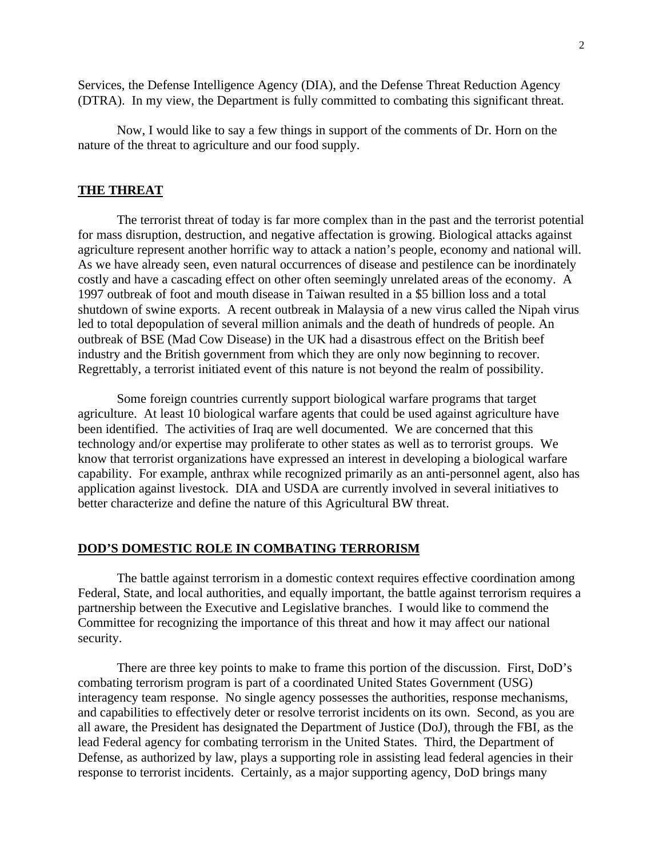Services, the Defense Intelligence Agency (DIA), and the Defense Threat Reduction Agency (DTRA). In my view, the Department is fully committed to combating this significant threat.

Now, I would like to say a few things in support of the comments of Dr. Horn on the nature of the threat to agriculture and our food supply.

## **THE THREAT**

The terrorist threat of today is far more complex than in the past and the terrorist potential for mass disruption, destruction, and negative affectation is growing. Biological attacks against agriculture represent another horrific way to attack a nation's people, economy and national will. As we have already seen, even natural occurrences of disease and pestilence can be inordinately costly and have a cascading effect on other often seemingly unrelated areas of the economy. A 1997 outbreak of foot and mouth disease in Taiwan resulted in a \$5 billion loss and a total shutdown of swine exports. A recent outbreak in Malaysia of a new virus called the Nipah virus led to total depopulation of several million animals and the death of hundreds of people. An outbreak of BSE (Mad Cow Disease) in the UK had a disastrous effect on the British beef industry and the British government from which they are only now beginning to recover. Regrettably, a terrorist initiated event of this nature is not beyond the realm of possibility.

Some foreign countries currently support biological warfare programs that target agriculture. At least 10 biological warfare agents that could be used against agriculture have been identified. The activities of Iraq are well documented. We are concerned that this technology and/or expertise may proliferate to other states as well as to terrorist groups. We know that terrorist organizations have expressed an interest in developing a biological warfare capability. For example, anthrax while recognized primarily as an anti-personnel agent, also has application against livestock. DIA and USDA are currently involved in several initiatives to better characterize and define the nature of this Agricultural BW threat.

#### **DOD'S DOMESTIC ROLE IN COMBATING TERRORISM**

The battle against terrorism in a domestic context requires effective coordination among Federal, State, and local authorities, and equally important, the battle against terrorism requires a partnership between the Executive and Legislative branches. I would like to commend the Committee for recognizing the importance of this threat and how it may affect our national security.

There are three key points to make to frame this portion of the discussion. First, DoD's combating terrorism program is part of a coordinated United States Government (USG) interagency team response. No single agency possesses the authorities, response mechanisms, and capabilities to effectively deter or resolve terrorist incidents on its own. Second, as you are all aware, the President has designated the Department of Justice (DoJ), through the FBI, as the lead Federal agency for combating terrorism in the United States. Third, the Department of Defense, as authorized by law, plays a supporting role in assisting lead federal agencies in their response to terrorist incidents. Certainly, as a major supporting agency, DoD brings many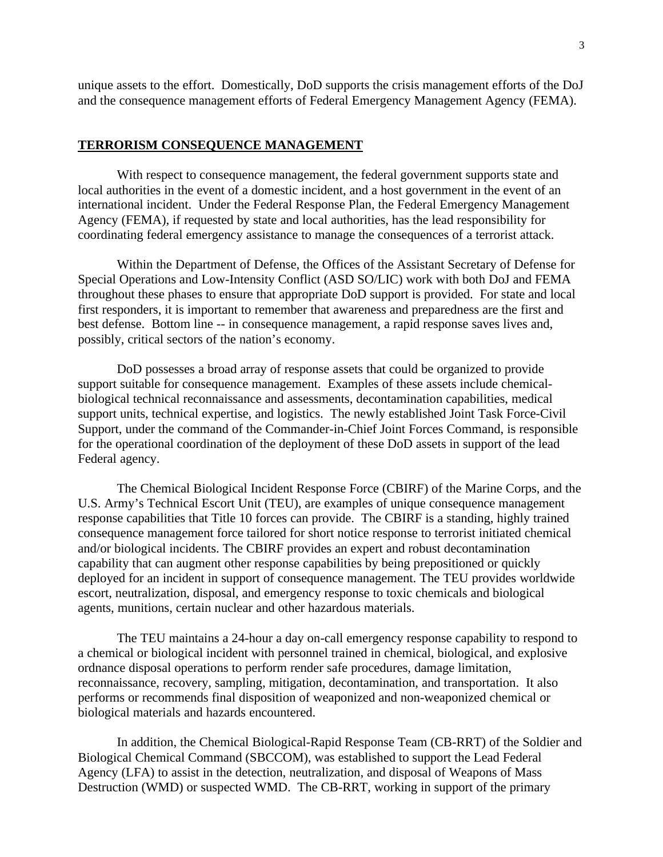unique assets to the effort. Domestically, DoD supports the crisis management efforts of the DoJ and the consequence management efforts of Federal Emergency Management Agency (FEMA).

#### **TERRORISM CONSEQUENCE MANAGEMENT**

With respect to consequence management, the federal government supports state and local authorities in the event of a domestic incident, and a host government in the event of an international incident. Under the Federal Response Plan, the Federal Emergency Management Agency (FEMA), if requested by state and local authorities, has the lead responsibility for coordinating federal emergency assistance to manage the consequences of a terrorist attack.

Within the Department of Defense, the Offices of the Assistant Secretary of Defense for Special Operations and Low-Intensity Conflict (ASD SO/LIC) work with both DoJ and FEMA throughout these phases to ensure that appropriate DoD support is provided. For state and local first responders, it is important to remember that awareness and preparedness are the first and best defense. Bottom line -- in consequence management, a rapid response saves lives and, possibly, critical sectors of the nation's economy.

DoD possesses a broad array of response assets that could be organized to provide support suitable for consequence management. Examples of these assets include chemicalbiological technical reconnaissance and assessments, decontamination capabilities, medical support units, technical expertise, and logistics. The newly established Joint Task Force-Civil Support, under the command of the Commander-in-Chief Joint Forces Command, is responsible for the operational coordination of the deployment of these DoD assets in support of the lead Federal agency.

The Chemical Biological Incident Response Force (CBIRF) of the Marine Corps, and the U.S. Army's Technical Escort Unit (TEU), are examples of unique consequence management response capabilities that Title 10 forces can provide. The CBIRF is a standing, highly trained consequence management force tailored for short notice response to terrorist initiated chemical and/or biological incidents. The CBIRF provides an expert and robust decontamination capability that can augment other response capabilities by being prepositioned or quickly deployed for an incident in support of consequence management. The TEU provides worldwide escort, neutralization, disposal, and emergency response to toxic chemicals and biological agents, munitions, certain nuclear and other hazardous materials.

The TEU maintains a 24-hour a day on-call emergency response capability to respond to a chemical or biological incident with personnel trained in chemical, biological, and explosive ordnance disposal operations to perform render safe procedures, damage limitation, reconnaissance, recovery, sampling, mitigation, decontamination, and transportation. It also performs or recommends final disposition of weaponized and non-weaponized chemical or biological materials and hazards encountered.

In addition, the Chemical Biological-Rapid Response Team (CB-RRT) of the Soldier and Biological Chemical Command (SBCCOM), was established to support the Lead Federal Agency (LFA) to assist in the detection, neutralization, and disposal of Weapons of Mass Destruction (WMD) or suspected WMD. The CB-RRT, working in support of the primary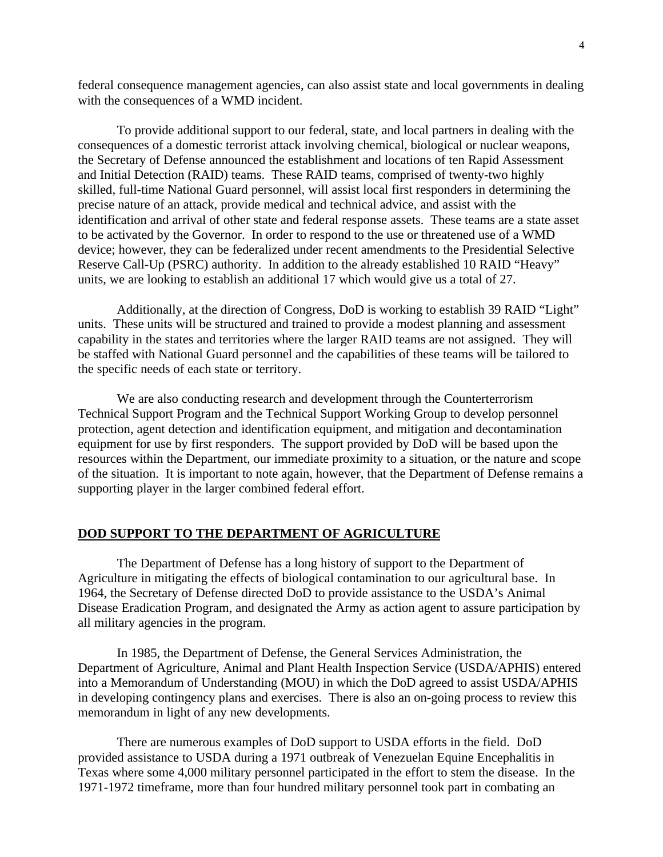federal consequence management agencies, can also assist state and local governments in dealing with the consequences of a WMD incident.

To provide additional support to our federal, state, and local partners in dealing with the consequences of a domestic terrorist attack involving chemical, biological or nuclear weapons, the Secretary of Defense announced the establishment and locations of ten Rapid Assessment and Initial Detection (RAID) teams. These RAID teams, comprised of twenty-two highly skilled, full-time National Guard personnel, will assist local first responders in determining the precise nature of an attack, provide medical and technical advice, and assist with the identification and arrival of other state and federal response assets. These teams are a state asset to be activated by the Governor. In order to respond to the use or threatened use of a WMD device; however, they can be federalized under recent amendments to the Presidential Selective Reserve Call-Up (PSRC) authority. In addition to the already established 10 RAID "Heavy" units, we are looking to establish an additional 17 which would give us a total of 27.

Additionally, at the direction of Congress, DoD is working to establish 39 RAID "Light" units. These units will be structured and trained to provide a modest planning and assessment capability in the states and territories where the larger RAID teams are not assigned. They will be staffed with National Guard personnel and the capabilities of these teams will be tailored to the specific needs of each state or territory.

We are also conducting research and development through the Counterterrorism Technical Support Program and the Technical Support Working Group to develop personnel protection, agent detection and identification equipment, and mitigation and decontamination equipment for use by first responders. The support provided by DoD will be based upon the resources within the Department, our immediate proximity to a situation, or the nature and scope of the situation. It is important to note again, however, that the Department of Defense remains a supporting player in the larger combined federal effort.

## **DOD SUPPORT TO THE DEPARTMENT OF AGRICULTURE**

The Department of Defense has a long history of support to the Department of Agriculture in mitigating the effects of biological contamination to our agricultural base. In 1964, the Secretary of Defense directed DoD to provide assistance to the USDA's Animal Disease Eradication Program, and designated the Army as action agent to assure participation by all military agencies in the program.

In 1985, the Department of Defense, the General Services Administration, the Department of Agriculture, Animal and Plant Health Inspection Service (USDA/APHIS) entered into a Memorandum of Understanding (MOU) in which the DoD agreed to assist USDA/APHIS in developing contingency plans and exercises. There is also an on-going process to review this memorandum in light of any new developments.

There are numerous examples of DoD support to USDA efforts in the field. DoD provided assistance to USDA during a 1971 outbreak of Venezuelan Equine Encephalitis in Texas where some 4,000 military personnel participated in the effort to stem the disease. In the 1971-1972 timeframe, more than four hundred military personnel took part in combating an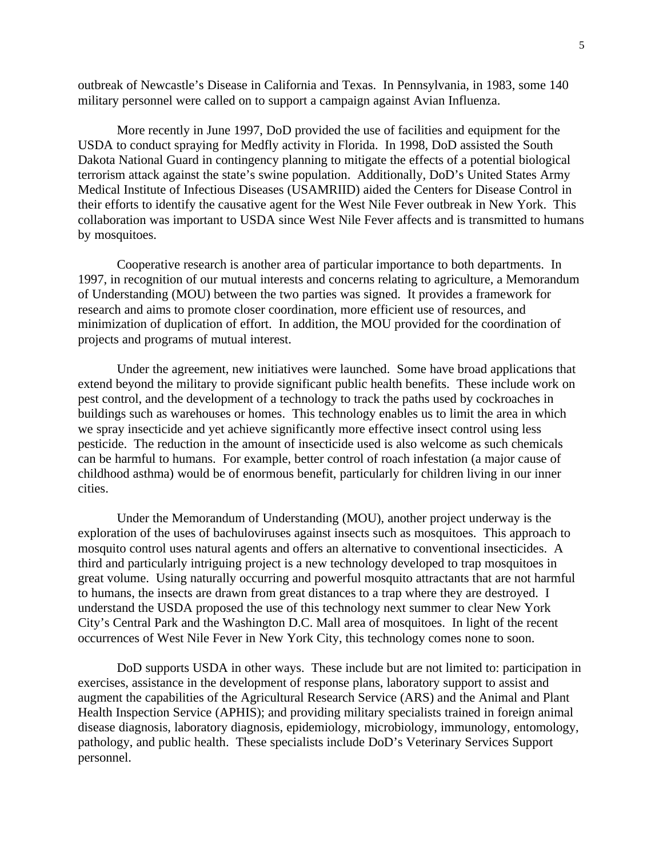outbreak of Newcastle's Disease in California and Texas. In Pennsylvania, in 1983, some 140 military personnel were called on to support a campaign against Avian Influenza.

More recently in June 1997, DoD provided the use of facilities and equipment for the USDA to conduct spraying for Medfly activity in Florida. In 1998, DoD assisted the South Dakota National Guard in contingency planning to mitigate the effects of a potential biological terrorism attack against the state's swine population. Additionally, DoD's United States Army Medical Institute of Infectious Diseases (USAMRIID) aided the Centers for Disease Control in their efforts to identify the causative agent for the West Nile Fever outbreak in New York. This collaboration was important to USDA since West Nile Fever affects and is transmitted to humans by mosquitoes.

Cooperative research is another area of particular importance to both departments. In 1997, in recognition of our mutual interests and concerns relating to agriculture, a Memorandum of Understanding (MOU) between the two parties was signed. It provides a framework for research and aims to promote closer coordination, more efficient use of resources, and minimization of duplication of effort. In addition, the MOU provided for the coordination of projects and programs of mutual interest.

Under the agreement, new initiatives were launched. Some have broad applications that extend beyond the military to provide significant public health benefits. These include work on pest control, and the development of a technology to track the paths used by cockroaches in buildings such as warehouses or homes. This technology enables us to limit the area in which we spray insecticide and yet achieve significantly more effective insect control using less pesticide. The reduction in the amount of insecticide used is also welcome as such chemicals can be harmful to humans. For example, better control of roach infestation (a major cause of childhood asthma) would be of enormous benefit, particularly for children living in our inner cities.

Under the Memorandum of Understanding (MOU), another project underway is the exploration of the uses of bachuloviruses against insects such as mosquitoes. This approach to mosquito control uses natural agents and offers an alternative to conventional insecticides. A third and particularly intriguing project is a new technology developed to trap mosquitoes in great volume. Using naturally occurring and powerful mosquito attractants that are not harmful to humans, the insects are drawn from great distances to a trap where they are destroyed. I understand the USDA proposed the use of this technology next summer to clear New York City's Central Park and the Washington D.C. Mall area of mosquitoes. In light of the recent occurrences of West Nile Fever in New York City, this technology comes none to soon.

DoD supports USDA in other ways. These include but are not limited to: participation in exercises, assistance in the development of response plans, laboratory support to assist and augment the capabilities of the Agricultural Research Service (ARS) and the Animal and Plant Health Inspection Service (APHIS); and providing military specialists trained in foreign animal disease diagnosis, laboratory diagnosis, epidemiology, microbiology, immunology, entomology, pathology, and public health. These specialists include DoD's Veterinary Services Support personnel.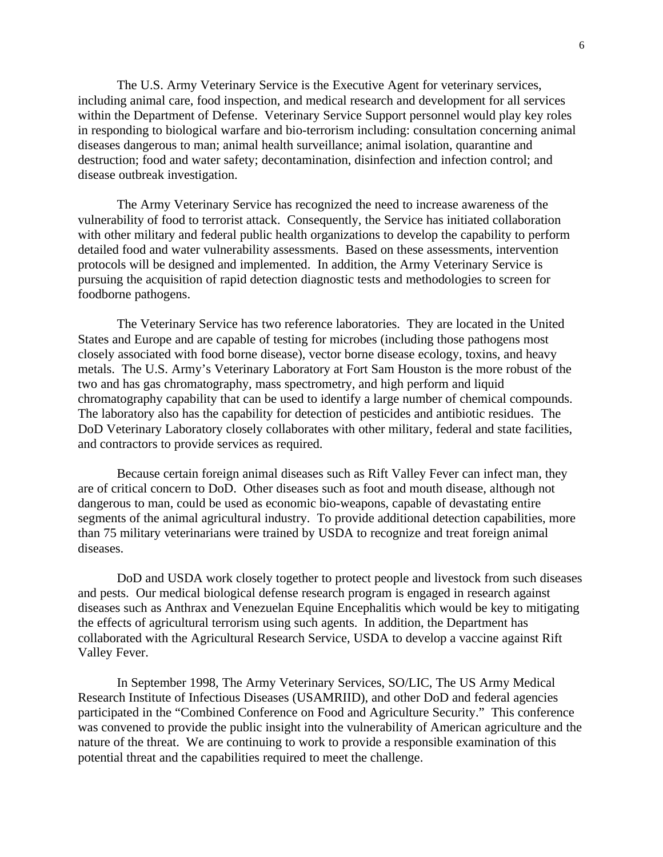The U.S. Army Veterinary Service is the Executive Agent for veterinary services, including animal care, food inspection, and medical research and development for all services within the Department of Defense. Veterinary Service Support personnel would play key roles in responding to biological warfare and bio-terrorism including: consultation concerning animal diseases dangerous to man; animal health surveillance; animal isolation, quarantine and destruction; food and water safety; decontamination, disinfection and infection control; and disease outbreak investigation.

The Army Veterinary Service has recognized the need to increase awareness of the vulnerability of food to terrorist attack. Consequently, the Service has initiated collaboration with other military and federal public health organizations to develop the capability to perform detailed food and water vulnerability assessments. Based on these assessments, intervention protocols will be designed and implemented. In addition, the Army Veterinary Service is pursuing the acquisition of rapid detection diagnostic tests and methodologies to screen for foodborne pathogens.

The Veterinary Service has two reference laboratories. They are located in the United States and Europe and are capable of testing for microbes (including those pathogens most closely associated with food borne disease), vector borne disease ecology, toxins, and heavy metals. The U.S. Army's Veterinary Laboratory at Fort Sam Houston is the more robust of the two and has gas chromatography, mass spectrometry, and high perform and liquid chromatography capability that can be used to identify a large number of chemical compounds. The laboratory also has the capability for detection of pesticides and antibiotic residues. The DoD Veterinary Laboratory closely collaborates with other military, federal and state facilities, and contractors to provide services as required.

Because certain foreign animal diseases such as Rift Valley Fever can infect man, they are of critical concern to DoD. Other diseases such as foot and mouth disease, although not dangerous to man, could be used as economic bio-weapons, capable of devastating entire segments of the animal agricultural industry. To provide additional detection capabilities, more than 75 military veterinarians were trained by USDA to recognize and treat foreign animal diseases.

DoD and USDA work closely together to protect people and livestock from such diseases and pests. Our medical biological defense research program is engaged in research against diseases such as Anthrax and Venezuelan Equine Encephalitis which would be key to mitigating the effects of agricultural terrorism using such agents. In addition, the Department has collaborated with the Agricultural Research Service, USDA to develop a vaccine against Rift Valley Fever.

In September 1998, The Army Veterinary Services, SO/LIC, The US Army Medical Research Institute of Infectious Diseases (USAMRIID), and other DoD and federal agencies participated in the "Combined Conference on Food and Agriculture Security." This conference was convened to provide the public insight into the vulnerability of American agriculture and the nature of the threat. We are continuing to work to provide a responsible examination of this potential threat and the capabilities required to meet the challenge.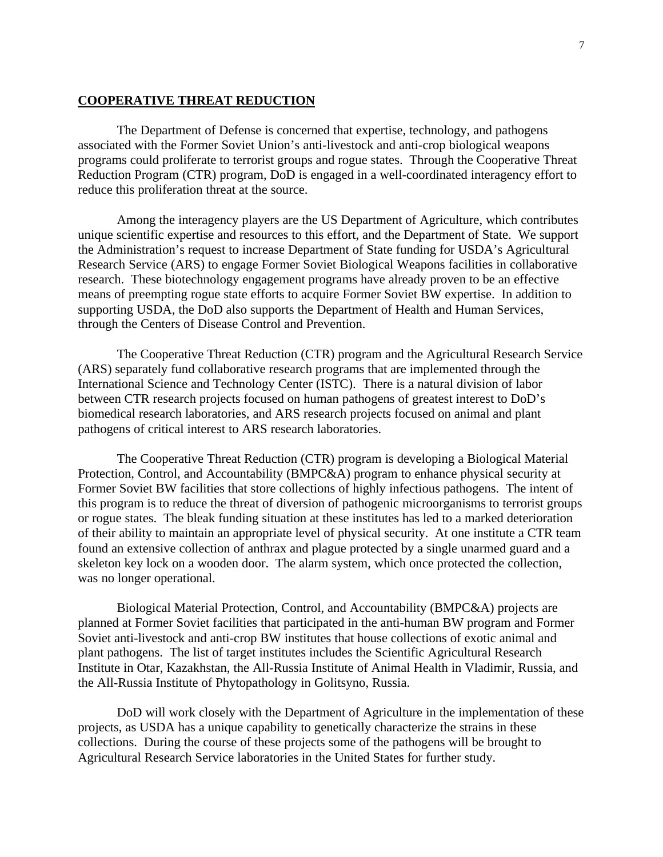## **COOPERATIVE THREAT REDUCTION**

The Department of Defense is concerned that expertise, technology, and pathogens associated with the Former Soviet Union's anti-livestock and anti-crop biological weapons programs could proliferate to terrorist groups and rogue states. Through the Cooperative Threat Reduction Program (CTR) program, DoD is engaged in a well-coordinated interagency effort to reduce this proliferation threat at the source.

Among the interagency players are the US Department of Agriculture, which contributes unique scientific expertise and resources to this effort, and the Department of State. We support the Administration's request to increase Department of State funding for USDA's Agricultural Research Service (ARS) to engage Former Soviet Biological Weapons facilities in collaborative research. These biotechnology engagement programs have already proven to be an effective means of preempting rogue state efforts to acquire Former Soviet BW expertise. In addition to supporting USDA, the DoD also supports the Department of Health and Human Services, through the Centers of Disease Control and Prevention.

The Cooperative Threat Reduction (CTR) program and the Agricultural Research Service (ARS) separately fund collaborative research programs that are implemented through the International Science and Technology Center (ISTC). There is a natural division of labor between CTR research projects focused on human pathogens of greatest interest to DoD's biomedical research laboratories, and ARS research projects focused on animal and plant pathogens of critical interest to ARS research laboratories.

The Cooperative Threat Reduction (CTR) program is developing a Biological Material Protection, Control, and Accountability (BMPC&A) program to enhance physical security at Former Soviet BW facilities that store collections of highly infectious pathogens. The intent of this program is to reduce the threat of diversion of pathogenic microorganisms to terrorist groups or rogue states. The bleak funding situation at these institutes has led to a marked deterioration of their ability to maintain an appropriate level of physical security. At one institute a CTR team found an extensive collection of anthrax and plague protected by a single unarmed guard and a skeleton key lock on a wooden door. The alarm system, which once protected the collection, was no longer operational.

Biological Material Protection, Control, and Accountability (BMPC&A) projects are planned at Former Soviet facilities that participated in the anti-human BW program and Former Soviet anti-livestock and anti-crop BW institutes that house collections of exotic animal and plant pathogens. The list of target institutes includes the Scientific Agricultural Research Institute in Otar, Kazakhstan, the All-Russia Institute of Animal Health in Vladimir, Russia, and the All-Russia Institute of Phytopathology in Golitsyno, Russia.

DoD will work closely with the Department of Agriculture in the implementation of these projects, as USDA has a unique capability to genetically characterize the strains in these collections. During the course of these projects some of the pathogens will be brought to Agricultural Research Service laboratories in the United States for further study.